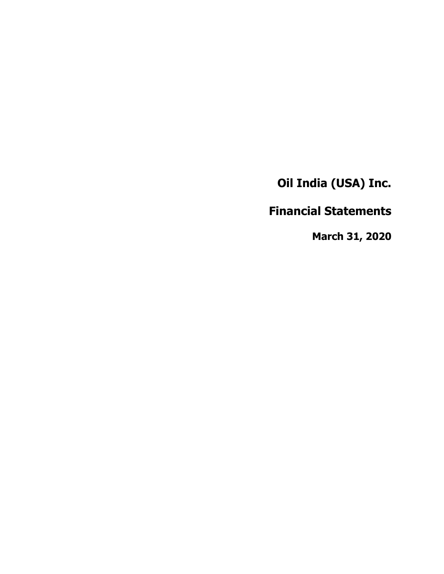**Financial Statements**

**March 31, 2020**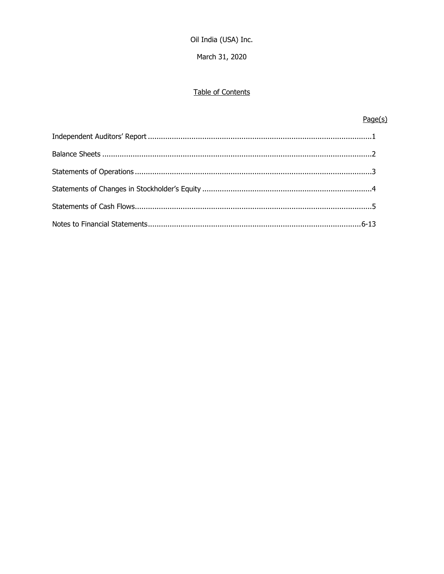March 31, 2020

# Table of Contents

# $Page(s)$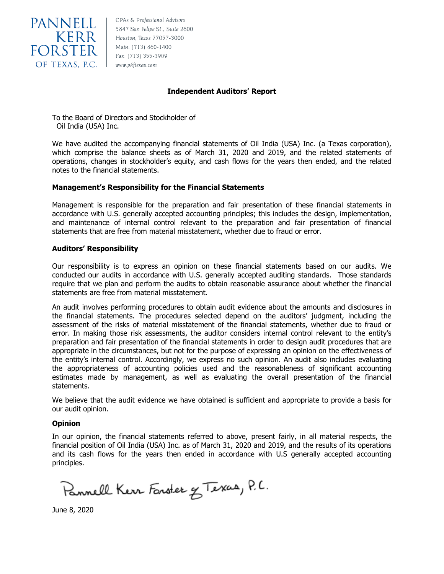

**PANNELL** EBAS & Professional Advisors<br>KERR Houston, Texas 77057-3000

## **Independent Auditors' Report**

To the Board of Directors and Stockholder of Oil India (USA) Inc.

We have audited the accompanying financial statements of Oil India (USA) Inc. (a Texas corporation), which comprise the balance sheets as of March 31, 2020 and 2019, and the related statements of operations, changes in stockholder's equity, and cash flows for the years then ended, and the related notes to the financial statements.

## **Management's Responsibility for the Financial Statements**

Management is responsible for the preparation and fair presentation of these financial statements in accordance with U.S. generally accepted accounting principles; this includes the design, implementation, and maintenance of internal control relevant to the preparation and fair presentation of financial statements that are free from material misstatement, whether due to fraud or error.

## **Auditors' Responsibility**

Our responsibility is to express an opinion on these financial statements based on our audits. We conducted our audits in accordance with U.S. generally accepted auditing standards. Those standards require that we plan and perform the audits to obtain reasonable assurance about whether the financial statements are free from material misstatement.

An audit involves performing procedures to obtain audit evidence about the amounts and disclosures in the financial statements. The procedures selected depend on the auditors' judgment, including the assessment of the risks of material misstatement of the financial statements, whether due to fraud or error. In making those risk assessments, the auditor considers internal control relevant to the entity's preparation and fair presentation of the financial statements in order to design audit procedures that are appropriate in the circumstances, but not for the purpose of expressing an opinion on the effectiveness of the entity's internal control. Accordingly, we express no such opinion. An audit also includes evaluating the appropriateness of accounting policies used and the reasonableness of significant accounting estimates made by management, as well as evaluating the overall presentation of the financial statements.

We believe that the audit evidence we have obtained is sufficient and appropriate to provide a basis for our audit opinion.

## **Opinion**

In our opinion, the financial statements referred to above, present fairly, in all material respects, the financial position of Oil India (USA) Inc. as of March 31, 2020 and 2019, and the results of its operations and its cash flows for the years then ended in accordance with U.S generally accepted accounting principles.

Pannell Kerr Forster & Texas, P.C.

June 8, 2020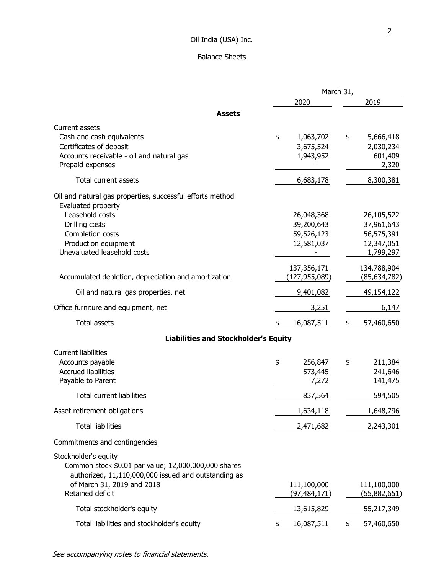# Balance Sheets

|                                                                                                                                                                                                 | March 31,                                            |                                                                   |  |
|-------------------------------------------------------------------------------------------------------------------------------------------------------------------------------------------------|------------------------------------------------------|-------------------------------------------------------------------|--|
|                                                                                                                                                                                                 | 2020                                                 | 2019                                                              |  |
| <b>Assets</b>                                                                                                                                                                                   |                                                      |                                                                   |  |
| Current assets<br>Cash and cash equivalents<br>Certificates of deposit<br>Accounts receivable - oil and natural gas<br>Prepaid expenses                                                         | \$<br>1,063,702<br>3,675,524<br>1,943,952            | \$<br>5,666,418<br>2,030,234<br>601,409<br>2,320                  |  |
| Total current assets                                                                                                                                                                            | 6,683,178                                            | 8,300,381                                                         |  |
| Oil and natural gas properties, successful efforts method<br>Evaluated property<br>Leasehold costs<br>Drilling costs<br>Completion costs<br>Production equipment<br>Unevaluated leasehold costs | 26,048,368<br>39,200,643<br>59,526,123<br>12,581,037 | 26,105,522<br>37,961,643<br>56,575,391<br>12,347,051<br>1,799,297 |  |
| Accumulated depletion, depreciation and amortization                                                                                                                                            | 137,356,171<br>(127,955,089)                         | 134,788,904<br>(85, 634, 782)                                     |  |
| Oil and natural gas properties, net                                                                                                                                                             | 9,401,082                                            | 49,154,122                                                        |  |
| Office furniture and equipment, net                                                                                                                                                             | 3,251                                                | 6,147                                                             |  |
| <b>Total assets</b>                                                                                                                                                                             | \$<br>16,087,511                                     | 57,460,650<br>\$                                                  |  |
| <b>Liabilities and Stockholder's Equity</b>                                                                                                                                                     |                                                      |                                                                   |  |
| <b>Current liabilities</b><br>Accounts payable<br><b>Accrued liabilities</b><br>Payable to Parent<br><b>Total current liabilities</b>                                                           | \$<br>256,847<br>573,445<br>7,272<br>837,564         | \$<br>211,384<br>241,646<br>141,475<br>594,505                    |  |
| Asset retirement obligations                                                                                                                                                                    | 1,634,118                                            | 1,648,796                                                         |  |
| <b>Total liabilities</b>                                                                                                                                                                        | 2,471,682                                            | 2,243,301                                                         |  |
| Commitments and contingencies                                                                                                                                                                   |                                                      |                                                                   |  |
| Stockholder's equity<br>Common stock \$0.01 par value; 12,000,000,000 shares<br>authorized, 11,110,000,000 issued and outstanding as<br>of March 31, 2019 and 2018<br>Retained deficit          | 111,100,000<br>(97, 484, 171)                        | 111,100,000<br>(55,882,651)                                       |  |
| Total stockholder's equity                                                                                                                                                                      | 13,615,829                                           | 55,217,349                                                        |  |
| Total liabilities and stockholder's equity                                                                                                                                                      | 16,087,511<br>\$                                     | 57,460,650<br>\$                                                  |  |

See accompanying notes to financial statements.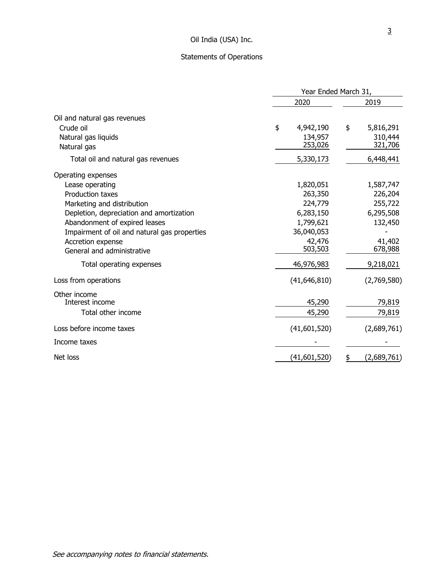# Statements of Operations

|                                              | Year Ended March 31, |                      |      |                      |
|----------------------------------------------|----------------------|----------------------|------|----------------------|
|                                              | 2020                 |                      | 2019 |                      |
| Oil and natural gas revenues<br>Crude oil    |                      |                      |      |                      |
|                                              | \$                   | 4,942,190<br>134,957 | \$   | 5,816,291<br>310,444 |
| Natural gas liquids<br>Natural gas           |                      | 253,026              |      | 321,706              |
|                                              |                      |                      |      |                      |
| Total oil and natural gas revenues           |                      | 5,330,173            |      | 6,448,441            |
| Operating expenses                           |                      |                      |      |                      |
| Lease operating                              |                      | 1,820,051            |      | 1,587,747            |
| <b>Production taxes</b>                      |                      | 263,350              |      | 226,204              |
| Marketing and distribution                   |                      | 224,779              |      | 255,722              |
| Depletion, depreciation and amortization     |                      | 6,283,150            |      | 6,295,508            |
| Abandonment of expired leases                |                      | 1,799,621            |      | 132,450              |
| Impairment of oil and natural gas properties |                      | 36,040,053           |      |                      |
| Accretion expense                            |                      | 42,476               |      | 41,402               |
| General and administrative                   |                      | 503,503              |      | 678,988              |
| Total operating expenses                     |                      | 46,976,983           |      | 9,218,021            |
| Loss from operations                         |                      | (41, 646, 810)       |      | (2,769,580)          |
| Other income                                 |                      |                      |      |                      |
| Interest income                              |                      | 45,290               |      | 79,819               |
| Total other income                           |                      | 45,290               |      | 79,819               |
| Loss before income taxes                     |                      | (41,601,520)         |      | (2,689,761)          |
| Income taxes                                 |                      |                      |      |                      |
| Net loss                                     |                      | (41,601,520)         | \$   | (2,689,761)          |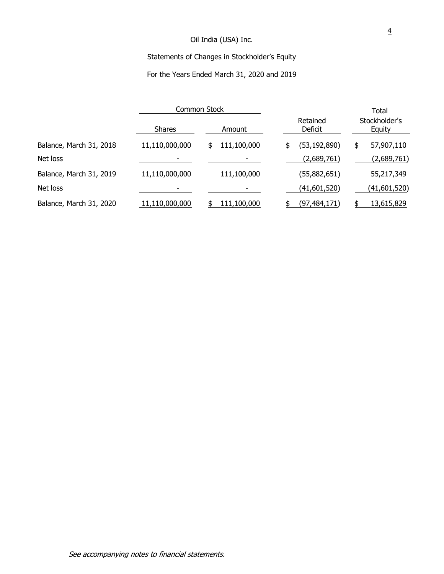# Statements of Changes in Stockholder's Equity

# For the Years Ended March 31, 2020 and 2019

|                         | Common Stock   |             |                      | Total                   |
|-------------------------|----------------|-------------|----------------------|-------------------------|
|                         | <b>Shares</b>  | Amount      | Retained<br>Deficit  | Stockholder's<br>Equity |
| Balance, March 31, 2018 | 11,110,000,000 | 111,100,000 | (53, 192, 890)<br>\$ | 57,907,110<br>\$        |
| Net loss                |                |             | (2,689,761)          | (2,689,761)             |
| Balance, March 31, 2019 | 11,110,000,000 | 111,100,000 | (55,882,651)         | 55,217,349              |
| Net loss                |                |             | (41,601,520)         | (41,601,520)            |
| Balance, March 31, 2020 | 11,110,000,000 | 111,100,000 | (97, 484, 171)       | 13,615,829              |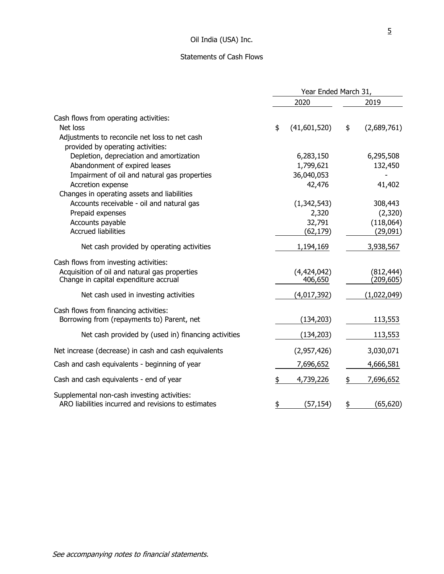# Statements of Cash Flows

|                                                                                                                                 | Year Ended March 31, |                        |           |                          |
|---------------------------------------------------------------------------------------------------------------------------------|----------------------|------------------------|-----------|--------------------------|
|                                                                                                                                 |                      | 2020                   |           | 2019                     |
| Cash flows from operating activities:                                                                                           |                      |                        |           |                          |
| Net loss<br>Adjustments to reconcile net loss to net cash<br>provided by operating activities:                                  | \$                   | (41,601,520)           | \$        | (2,689,761)              |
| Depletion, depreciation and amortization                                                                                        |                      | 6,283,150              |           | 6,295,508                |
| Abandonment of expired leases                                                                                                   |                      | 1,799,621              |           | 132,450                  |
| Impairment of oil and natural gas properties                                                                                    |                      | 36,040,053             |           |                          |
| Accretion expense<br>Changes in operating assets and liabilities                                                                |                      | 42,476                 |           | 41,402                   |
| Accounts receivable - oil and natural gas                                                                                       |                      | (1,342,543)            |           | 308,443                  |
| Prepaid expenses                                                                                                                |                      | 2,320                  |           | (2,320)                  |
| Accounts payable                                                                                                                |                      | 32,791                 |           | (118,064)                |
| <b>Accrued liabilities</b>                                                                                                      |                      | (62, 179)              |           | (29,091)                 |
| Net cash provided by operating activities                                                                                       |                      | 1,194,169              |           | 3,938,567                |
| Cash flows from investing activities:<br>Acquisition of oil and natural gas properties<br>Change in capital expenditure accrual |                      | (4,424,042)<br>406,650 |           | (812, 444)<br>(209, 605) |
| Net cash used in investing activities                                                                                           |                      | (4,017,392)            |           | (1,022,049)              |
| Cash flows from financing activities:<br>Borrowing from (repayments to) Parent, net                                             |                      | (134, 203)             |           | 113,553                  |
| Net cash provided by (used in) financing activities                                                                             |                      | (134, 203)             |           | 113,553                  |
| Net increase (decrease) in cash and cash equivalents                                                                            |                      | (2,957,426)            |           | 3,030,071                |
| Cash and cash equivalents - beginning of year                                                                                   |                      | 7,696,652              |           | 4,666,581                |
| Cash and cash equivalents - end of year                                                                                         |                      | 4,739,226              | \$        | 7,696,652                |
| Supplemental non-cash investing activities:<br>ARO liabilities incurred and revisions to estimates                              | \$                   | (57,154)               | <u>\$</u> | (65, 620)                |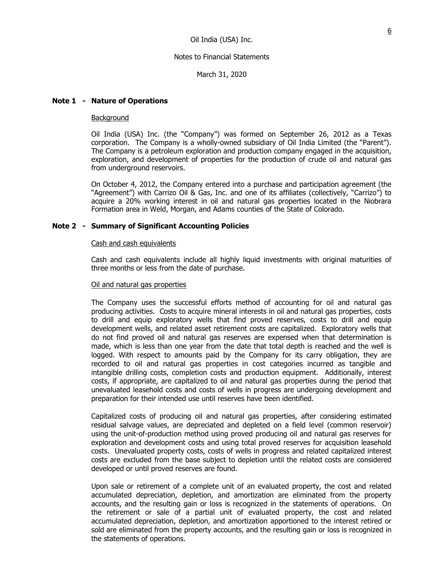March 31, 2020

## **Note 1 - Nature of Operations**

#### Background

Oil India (USA) Inc. (the "Company") was formed on September 26, 2012 as a Texas corporation. The Company is a wholly-owned subsidiary of Oil India Limited (the "Parent"). The Company is a petroleum exploration and production company engaged in the acquisition, exploration, and development of properties for the production of crude oil and natural gas from underground reservoirs.

On October 4, 2012, the Company entered into a purchase and participation agreement (the "Agreement") with Carrizo Oil & Gas, Inc. and one of its affiliates (collectively, "Carrizo") to acquire a 20% working interest in oil and natural gas properties located in the Niobrara Formation area in Weld, Morgan, and Adams counties of the State of Colorado.

#### **Note 2 - Summary of Significant Accounting Policies**

#### Cash and cash equivalents

Cash and cash equivalents include all highly liquid investments with original maturities of three months or less from the date of purchase.

#### Oil and natural gas properties

The Company uses the successful efforts method of accounting for oil and natural gas producing activities. Costs to acquire mineral interests in oil and natural gas properties, costs to drill and equip exploratory wells that find proved reserves, costs to drill and equip development wells, and related asset retirement costs are capitalized. Exploratory wells that do not find proved oil and natural gas reserves are expensed when that determination is made, which is less than one year from the date that total depth is reached and the well is logged. With respect to amounts paid by the Company for its carry obligation, they are recorded to oil and natural gas properties in cost categories incurred as tangible and intangible drilling costs, completion costs and production equipment. Additionally, interest costs, if appropriate, are capitalized to oil and natural gas properties during the period that unevaluated leasehold costs and costs of wells in progress are undergoing development and preparation for their intended use until reserves have been identified.

Capitalized costs of producing oil and natural gas properties, after considering estimated residual salvage values, are depreciated and depleted on a field level (common reservoir) using the unit-of-production method using proved producing oil and natural gas reserves for exploration and development costs and using total proved reserves for acquisition leasehold costs. Unevaluated property costs, costs of wells in progress and related capitalized interest costs are excluded from the base subject to depletion until the related costs are considered developed or until proved reserves are found.

Upon sale or retirement of a complete unit of an evaluated property, the cost and related accumulated depreciation, depletion, and amortization are eliminated from the property accounts, and the resulting gain or loss is recognized in the statements of operations. On the retirement or sale of a partial unit of evaluated property, the cost and related accumulated depreciation, depletion, and amortization apportioned to the interest retired or sold are eliminated from the property accounts, and the resulting gain or loss is recognized in the statements of operations.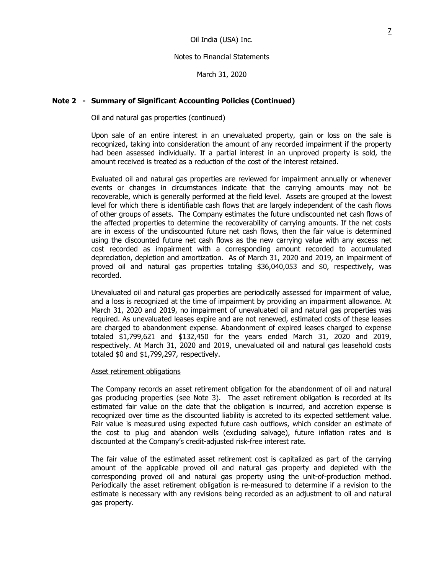March 31, 2020

## **Note 2 - Summary of Significant Accounting Policies (Continued)**

## Oil and natural gas properties (continued)

Upon sale of an entire interest in an unevaluated property, gain or loss on the sale is recognized, taking into consideration the amount of any recorded impairment if the property had been assessed individually. If a partial interest in an unproved property is sold, the amount received is treated as a reduction of the cost of the interest retained.

Evaluated oil and natural gas properties are reviewed for impairment annually or whenever events or changes in circumstances indicate that the carrying amounts may not be recoverable, which is generally performed at the field level. Assets are grouped at the lowest level for which there is identifiable cash flows that are largely independent of the cash flows of other groups of assets. The Company estimates the future undiscounted net cash flows of the affected properties to determine the recoverability of carrying amounts. If the net costs are in excess of the undiscounted future net cash flows, then the fair value is determined using the discounted future net cash flows as the new carrying value with any excess net cost recorded as impairment with a corresponding amount recorded to accumulated depreciation, depletion and amortization. As of March 31, 2020 and 2019, an impairment of proved oil and natural gas properties totaling \$36,040,053 and \$0, respectively, was recorded.

Unevaluated oil and natural gas properties are periodically assessed for impairment of value, and a loss is recognized at the time of impairment by providing an impairment allowance. At March 31, 2020 and 2019, no impairment of unevaluated oil and natural gas properties was required. As unevaluated leases expire and are not renewed, estimated costs of these leases are charged to abandonment expense. Abandonment of expired leases charged to expense totaled \$1,799,621 and \$132,450 for the years ended March 31, 2020 and 2019, respectively. At March 31, 2020 and 2019, unevaluated oil and natural gas leasehold costs totaled \$0 and \$1,799,297, respectively.

## Asset retirement obligations

The Company records an asset retirement obligation for the abandonment of oil and natural gas producing properties (see Note 3). The asset retirement obligation is recorded at its estimated fair value on the date that the obligation is incurred, and accretion expense is recognized over time as the discounted liability is accreted to its expected settlement value. Fair value is measured using expected future cash outflows, which consider an estimate of the cost to plug and abandon wells (excluding salvage), future inflation rates and is discounted at the Company's credit-adjusted risk-free interest rate.

The fair value of the estimated asset retirement cost is capitalized as part of the carrying amount of the applicable proved oil and natural gas property and depleted with the corresponding proved oil and natural gas property using the unit-of-production method. Periodically the asset retirement obligation is re-measured to determine if a revision to the estimate is necessary with any revisions being recorded as an adjustment to oil and natural gas property.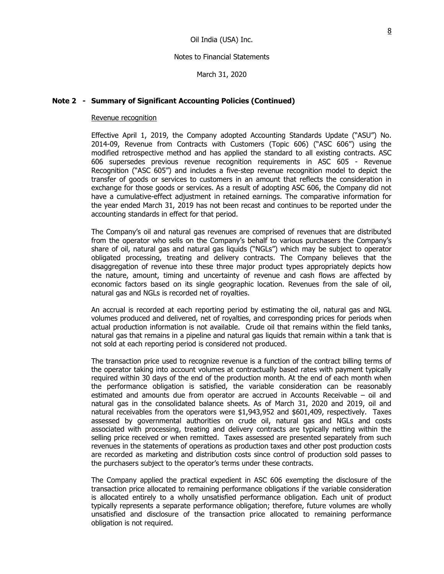March 31, 2020

## **Note 2 - Summary of Significant Accounting Policies (Continued)**

#### Revenue recognition

Effective April 1, 2019, the Company adopted Accounting Standards Update ("ASU") No. 2014-09, Revenue from Contracts with Customers (Topic 606) ("ASC 606") using the modified retrospective method and has applied the standard to all existing contracts. ASC 606 supersedes previous revenue recognition requirements in ASC 605 - Revenue Recognition ("ASC 605") and includes a five-step revenue recognition model to depict the transfer of goods or services to customers in an amount that reflects the consideration in exchange for those goods or services. As a result of adopting ASC 606, the Company did not have a cumulative-effect adjustment in retained earnings. The comparative information for the year ended March 31, 2019 has not been recast and continues to be reported under the accounting standards in effect for that period.

The Company's oil and natural gas revenues are comprised of revenues that are distributed from the operator who sells on the Company's behalf to various purchasers the Company's share of oil, natural gas and natural gas liquids ("NGLs") which may be subject to operator obligated processing, treating and delivery contracts. The Company believes that the disaggregation of revenue into these three major product types appropriately depicts how the nature, amount, timing and uncertainty of revenue and cash flows are affected by economic factors based on its single geographic location. Revenues from the sale of oil, natural gas and NGLs is recorded net of royalties.

An accrual is recorded at each reporting period by estimating the oil, natural gas and NGL volumes produced and delivered, net of royalties, and corresponding prices for periods when actual production information is not available. Crude oil that remains within the field tanks, natural gas that remains in a pipeline and natural gas liquids that remain within a tank that is not sold at each reporting period is considered not produced.

The transaction price used to recognize revenue is a function of the contract billing terms of the operator taking into account volumes at contractually based rates with payment typically required within 30 days of the end of the production month. At the end of each month when the performance obligation is satisfied, the variable consideration can be reasonably estimated and amounts due from operator are accrued in Accounts Receivable – oil and natural gas in the consolidated balance sheets. As of March 31, 2020 and 2019, oil and natural receivables from the operators were \$1,943,952 and \$601,409, respectively. Taxes assessed by governmental authorities on crude oil, natural gas and NGLs and costs associated with processing, treating and delivery contracts are typically netting within the selling price received or when remitted. Taxes assessed are presented separately from such revenues in the statements of operations as production taxes and other post production costs are recorded as marketing and distribution costs since control of production sold passes to the purchasers subject to the operator's terms under these contracts.

The Company applied the practical expedient in ASC 606 exempting the disclosure of the transaction price allocated to remaining performance obligations if the variable consideration is allocated entirely to a wholly unsatisfied performance obligation. Each unit of product typically represents a separate performance obligation; therefore, future volumes are wholly unsatisfied and disclosure of the transaction price allocated to remaining performance obligation is not required.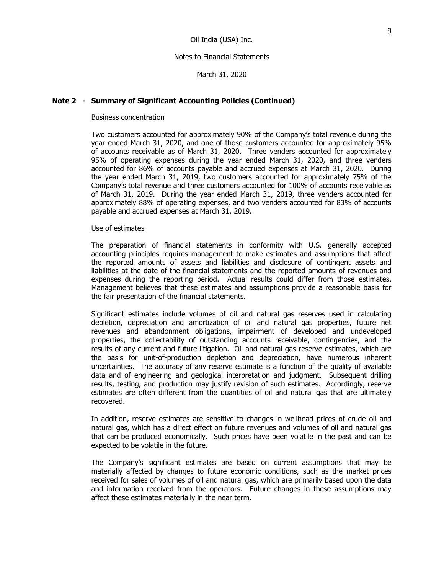March 31, 2020

## **Note 2 - Summary of Significant Accounting Policies (Continued)**

#### Business concentration

Two customers accounted for approximately 90% of the Company's total revenue during the year ended March 31, 2020, and one of those customers accounted for approximately 95% of accounts receivable as of March 31, 2020. Three venders accounted for approximately 95% of operating expenses during the year ended March 31, 2020, and three venders accounted for 86% of accounts payable and accrued expenses at March 31, 2020. During the year ended March 31, 2019, two customers accounted for approximately 75% of the Company's total revenue and three customers accounted for 100% of accounts receivable as of March 31, 2019. During the year ended March 31, 2019, three venders accounted for approximately 88% of operating expenses, and two venders accounted for 83% of accounts payable and accrued expenses at March 31, 2019.

#### Use of estimates

The preparation of financial statements in conformity with U.S. generally accepted accounting principles requires management to make estimates and assumptions that affect the reported amounts of assets and liabilities and disclosure of contingent assets and liabilities at the date of the financial statements and the reported amounts of revenues and expenses during the reporting period. Actual results could differ from those estimates. Management believes that these estimates and assumptions provide a reasonable basis for the fair presentation of the financial statements.

Significant estimates include volumes of oil and natural gas reserves used in calculating depletion, depreciation and amortization of oil and natural gas properties, future net revenues and abandonment obligations, impairment of developed and undeveloped properties, the collectability of outstanding accounts receivable, contingencies, and the results of any current and future litigation. Oil and natural gas reserve estimates, which are the basis for unit-of-production depletion and depreciation, have numerous inherent uncertainties. The accuracy of any reserve estimate is a function of the quality of available data and of engineering and geological interpretation and judgment. Subsequent drilling results, testing, and production may justify revision of such estimates. Accordingly, reserve estimates are often different from the quantities of oil and natural gas that are ultimately recovered.

In addition, reserve estimates are sensitive to changes in wellhead prices of crude oil and natural gas, which has a direct effect on future revenues and volumes of oil and natural gas that can be produced economically. Such prices have been volatile in the past and can be expected to be volatile in the future.

The Company's significant estimates are based on current assumptions that may be materially affected by changes to future economic conditions, such as the market prices received for sales of volumes of oil and natural gas, which are primarily based upon the data and information received from the operators. Future changes in these assumptions may affect these estimates materially in the near term.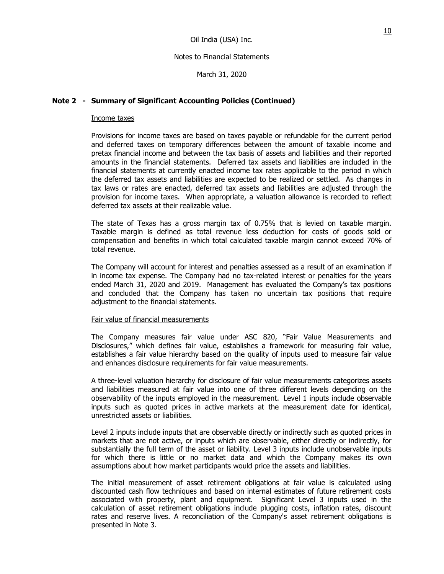March 31, 2020

## **Note 2 - Summary of Significant Accounting Policies (Continued)**

## Income taxes

Provisions for income taxes are based on taxes payable or refundable for the current period and deferred taxes on temporary differences between the amount of taxable income and pretax financial income and between the tax basis of assets and liabilities and their reported amounts in the financial statements. Deferred tax assets and liabilities are included in the financial statements at currently enacted income tax rates applicable to the period in which the deferred tax assets and liabilities are expected to be realized or settled. As changes in tax laws or rates are enacted, deferred tax assets and liabilities are adjusted through the provision for income taxes. When appropriate, a valuation allowance is recorded to reflect deferred tax assets at their realizable value.

The state of Texas has a gross margin tax of 0.75% that is levied on taxable margin. Taxable margin is defined as total revenue less deduction for costs of goods sold or compensation and benefits in which total calculated taxable margin cannot exceed 70% of total revenue.

The Company will account for interest and penalties assessed as a result of an examination if in income tax expense. The Company had no tax-related interest or penalties for the years ended March 31, 2020 and 2019. Management has evaluated the Company's tax positions and concluded that the Company has taken no uncertain tax positions that require adjustment to the financial statements.

## Fair value of financial measurements

The Company measures fair value under ASC 820, "Fair Value Measurements and Disclosures," which defines fair value, establishes a framework for measuring fair value, establishes a fair value hierarchy based on the quality of inputs used to measure fair value and enhances disclosure requirements for fair value measurements.

A three-level valuation hierarchy for disclosure of fair value measurements categorizes assets and liabilities measured at fair value into one of three different levels depending on the observability of the inputs employed in the measurement. Level 1 inputs include observable inputs such as quoted prices in active markets at the measurement date for identical, unrestricted assets or liabilities.

Level 2 inputs include inputs that are observable directly or indirectly such as quoted prices in markets that are not active, or inputs which are observable, either directly or indirectly, for substantially the full term of the asset or liability. Level 3 inputs include unobservable inputs for which there is little or no market data and which the Company makes its own assumptions about how market participants would price the assets and liabilities.

The initial measurement of asset retirement obligations at fair value is calculated using discounted cash flow techniques and based on internal estimates of future retirement costs associated with property, plant and equipment. Significant Level 3 inputs used in the calculation of asset retirement obligations include plugging costs, inflation rates, discount rates and reserve lives. A reconciliation of the Company's asset retirement obligations is presented in Note 3.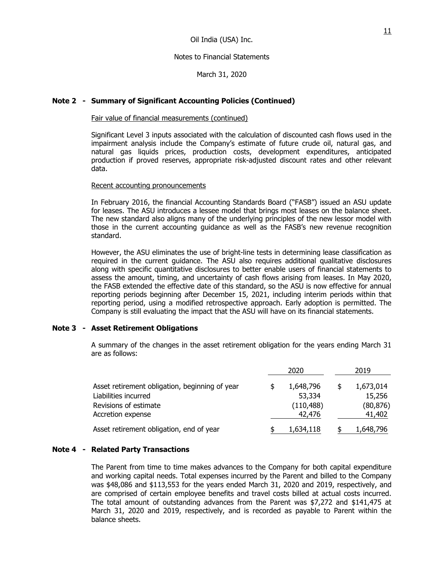March 31, 2020

## **Note 2 - Summary of Significant Accounting Policies (Continued)**

### Fair value of financial measurements (continued)

Significant Level 3 inputs associated with the calculation of discounted cash flows used in the impairment analysis include the Company's estimate of future crude oil, natural gas, and natural gas liquids prices, production costs, development expenditures, anticipated production if proved reserves, appropriate risk-adjusted discount rates and other relevant data.

#### Recent accounting pronouncements

In February 2016, the financial Accounting Standards Board ("FASB") issued an ASU update for leases. The ASU introduces a lessee model that brings most leases on the balance sheet. The new standard also aligns many of the underlying principles of the new lessor model with those in the current accounting guidance as well as the FASB's new revenue recognition standard.

However, the ASU eliminates the use of bright-line tests in determining lease classification as required in the current guidance. The ASU also requires additional qualitative disclosures along with specific quantitative disclosures to better enable users of financial statements to assess the amount, timing, and uncertainty of cash flows arising from leases. In May 2020, the FASB extended the effective date of this standard, so the ASU is now effective for annual reporting periods beginning after December 15, 2021, including interim periods within that reporting period, using a modified retrospective approach. Early adoption is permitted. The Company is still evaluating the impact that the ASU will have on its financial statements.

## **Note 3 - Asset Retirement Obligations**

A summary of the changes in the asset retirement obligation for the years ending March 31 are as follows:

|                                                                                                                      | 2020 |                                             | 2019 |                                            |
|----------------------------------------------------------------------------------------------------------------------|------|---------------------------------------------|------|--------------------------------------------|
| Asset retirement obligation, beginning of year<br>Liabilities incurred<br>Revisions of estimate<br>Accretion expense |      | 1,648,796<br>53,334<br>(110, 488)<br>42,476 | \$   | 1,673,014<br>15,256<br>(80, 876)<br>41,402 |
| Asset retirement obligation, end of year                                                                             |      | 1,634,118                                   |      | 1,648,796                                  |

## **Note 4 - Related Party Transactions**

The Parent from time to time makes advances to the Company for both capital expenditure and working capital needs. Total expenses incurred by the Parent and billed to the Company was \$48,086 and \$113,553 for the years ended March 31, 2020 and 2019, respectively, and are comprised of certain employee benefits and travel costs billed at actual costs incurred. The total amount of outstanding advances from the Parent was \$7,272 and \$141,475 at March 31, 2020 and 2019, respectively, and is recorded as payable to Parent within the balance sheets.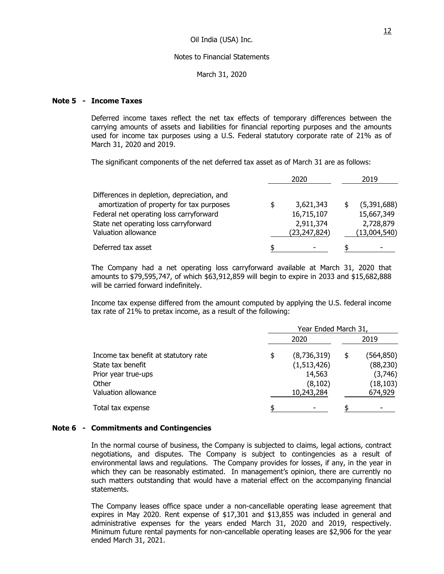March 31, 2020

## **Note 5 - Income Taxes**

Deferred income taxes reflect the net tax effects of temporary differences between the carrying amounts of assets and liabilities for financial reporting purposes and the amounts used for income tax purposes using a U.S. Federal statutory corporate rate of 21% as of March 31, 2020 and 2019.

The significant components of the net deferred tax asset as of March 31 are as follows:

|                                             | 2020            | 2019         |
|---------------------------------------------|-----------------|--------------|
| Differences in depletion, depreciation, and |                 |              |
| amortization of property for tax purposes   | \$<br>3,621,343 | (5,391,688)  |
| Federal net operating loss carryforward     | 16,715,107      | 15,667,349   |
| State net operating loss carryforward       | 2,911,374       | 2,728,879    |
| Valuation allowance                         | (23, 247, 824)  | (13,004,540) |
| Deferred tax asset                          | \$              |              |

The Company had a net operating loss carryforward available at March 31, 2020 that amounts to \$79,595,747, of which \$63,912,859 will begin to expire in 2033 and \$15,682,888 will be carried forward indefinitely.

Income tax expense differed from the amount computed by applying the U.S. federal income tax rate of 21% to pretax income, as a result of the following:

|                                      | Year Ended March 31, |             |    |           |
|--------------------------------------|----------------------|-------------|----|-----------|
|                                      |                      | 2020        |    | 2019      |
| Income tax benefit at statutory rate | \$                   | (8,736,319) | \$ | (564,850) |
| State tax benefit                    |                      | (1,513,426) |    | (88, 230) |
| Prior year true-ups                  |                      | 14,563      |    | (3,746)   |
| Other                                |                      | (8, 102)    |    | (18, 103) |
| Valuation allowance                  |                      | 10,243,284  |    | 674,929   |
| Total tax expense                    | ፍ                    |             |    |           |

#### **Note 6 - Commitments and Contingencies**

In the normal course of business, the Company is subjected to claims, legal actions, contract negotiations, and disputes. The Company is subject to contingencies as a result of environmental laws and regulations. The Company provides for losses, if any, in the year in which they can be reasonably estimated. In management's opinion, there are currently no such matters outstanding that would have a material effect on the accompanying financial statements.

The Company leases office space under a non-cancellable operating lease agreement that expires in May 2020. Rent expense of \$17,301 and \$13,855 was included in general and administrative expenses for the years ended March 31, 2020 and 2019, respectively. Minimum future rental payments for non-cancellable operating leases are \$2,906 for the year ended March 31, 2021.